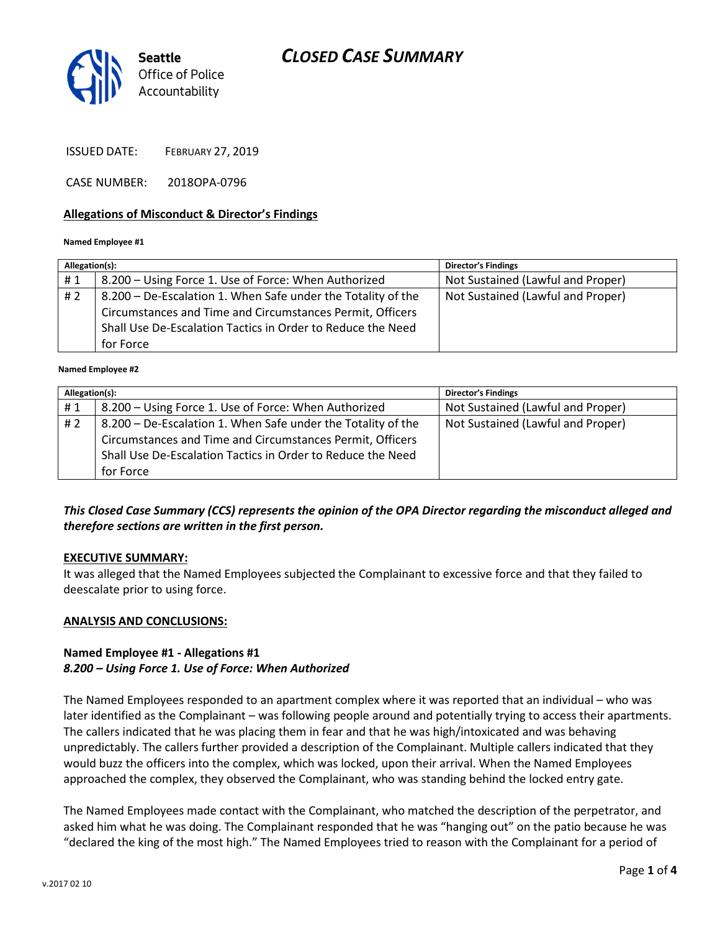# CLOSED CASE SUMMARY



ISSUED DATE: FEBRUARY 27, 2019

CASE NUMBER: 2018OPA-0796

### Allegations of Misconduct & Director's Findings

#### Named Employee #1

| 8.200 – Using Force 1. Use of Force: When Authorized<br>#1<br>#2<br>8.200 – De-Escalation 1. When Safe under the Totality of the      | Not Sustained (Lawful and Proper) |
|---------------------------------------------------------------------------------------------------------------------------------------|-----------------------------------|
|                                                                                                                                       |                                   |
| Circumstances and Time and Circumstances Permit, Officers<br>Shall Use De-Escalation Tactics in Order to Reduce the Need<br>for Force | Not Sustained (Lawful and Proper) |

#### Named Employee #2

| Allegation(s): |                                                                                                                                                                                                       | <b>Director's Findings</b>        |
|----------------|-------------------------------------------------------------------------------------------------------------------------------------------------------------------------------------------------------|-----------------------------------|
| #1             | 8.200 – Using Force 1. Use of Force: When Authorized                                                                                                                                                  | Not Sustained (Lawful and Proper) |
| #2             | 8.200 - De-Escalation 1. When Safe under the Totality of the<br>Circumstances and Time and Circumstances Permit, Officers<br>Shall Use De-Escalation Tactics in Order to Reduce the Need<br>for Force | Not Sustained (Lawful and Proper) |

### This Closed Case Summary (CCS) represents the opinion of the OPA Director regarding the misconduct alleged and therefore sections are written in the first person.

#### EXECUTIVE SUMMARY:

It was alleged that the Named Employees subjected the Complainant to excessive force and that they failed to deescalate prior to using force.

#### ANALYSIS AND CONCLUSIONS:

### Named Employee #1 - Allegations #1 8.200 – Using Force 1. Use of Force: When Authorized

The Named Employees responded to an apartment complex where it was reported that an individual – who was later identified as the Complainant – was following people around and potentially trying to access their apartments. The callers indicated that he was placing them in fear and that he was high/intoxicated and was behaving unpredictably. The callers further provided a description of the Complainant. Multiple callers indicated that they would buzz the officers into the complex, which was locked, upon their arrival. When the Named Employees approached the complex, they observed the Complainant, who was standing behind the locked entry gate.

The Named Employees made contact with the Complainant, who matched the description of the perpetrator, and asked him what he was doing. The Complainant responded that he was "hanging out" on the patio because he was "declared the king of the most high." The Named Employees tried to reason with the Complainant for a period of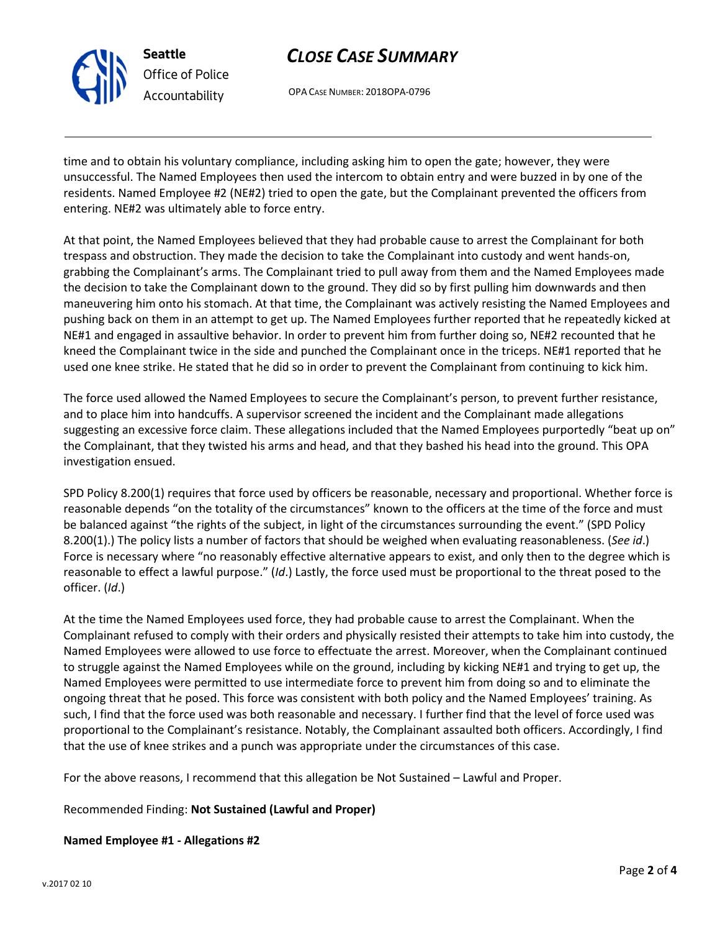

Seattle Office of Police Accountability

# CLOSE CASE SUMMARY

OPA CASE NUMBER: 2018OPA-0796

time and to obtain his voluntary compliance, including asking him to open the gate; however, they were unsuccessful. The Named Employees then used the intercom to obtain entry and were buzzed in by one of the residents. Named Employee #2 (NE#2) tried to open the gate, but the Complainant prevented the officers from entering. NE#2 was ultimately able to force entry.

At that point, the Named Employees believed that they had probable cause to arrest the Complainant for both trespass and obstruction. They made the decision to take the Complainant into custody and went hands-on, grabbing the Complainant's arms. The Complainant tried to pull away from them and the Named Employees made the decision to take the Complainant down to the ground. They did so by first pulling him downwards and then maneuvering him onto his stomach. At that time, the Complainant was actively resisting the Named Employees and pushing back on them in an attempt to get up. The Named Employees further reported that he repeatedly kicked at NE#1 and engaged in assaultive behavior. In order to prevent him from further doing so, NE#2 recounted that he kneed the Complainant twice in the side and punched the Complainant once in the triceps. NE#1 reported that he used one knee strike. He stated that he did so in order to prevent the Complainant from continuing to kick him.

The force used allowed the Named Employees to secure the Complainant's person, to prevent further resistance, and to place him into handcuffs. A supervisor screened the incident and the Complainant made allegations suggesting an excessive force claim. These allegations included that the Named Employees purportedly "beat up on" the Complainant, that they twisted his arms and head, and that they bashed his head into the ground. This OPA investigation ensued.

SPD Policy 8.200(1) requires that force used by officers be reasonable, necessary and proportional. Whether force is reasonable depends "on the totality of the circumstances" known to the officers at the time of the force and must be balanced against "the rights of the subject, in light of the circumstances surrounding the event." (SPD Policy 8.200(1).) The policy lists a number of factors that should be weighed when evaluating reasonableness. (See id.) Force is necessary where "no reasonably effective alternative appears to exist, and only then to the degree which is reasonable to effect a lawful purpose." (Id.) Lastly, the force used must be proportional to the threat posed to the officer. (Id.)

At the time the Named Employees used force, they had probable cause to arrest the Complainant. When the Complainant refused to comply with their orders and physically resisted their attempts to take him into custody, the Named Employees were allowed to use force to effectuate the arrest. Moreover, when the Complainant continued to struggle against the Named Employees while on the ground, including by kicking NE#1 and trying to get up, the Named Employees were permitted to use intermediate force to prevent him from doing so and to eliminate the ongoing threat that he posed. This force was consistent with both policy and the Named Employees' training. As such, I find that the force used was both reasonable and necessary. I further find that the level of force used was proportional to the Complainant's resistance. Notably, the Complainant assaulted both officers. Accordingly, I find that the use of knee strikes and a punch was appropriate under the circumstances of this case.

For the above reasons, I recommend that this allegation be Not Sustained – Lawful and Proper.

Recommended Finding: Not Sustained (Lawful and Proper)

Named Employee #1 - Allegations #2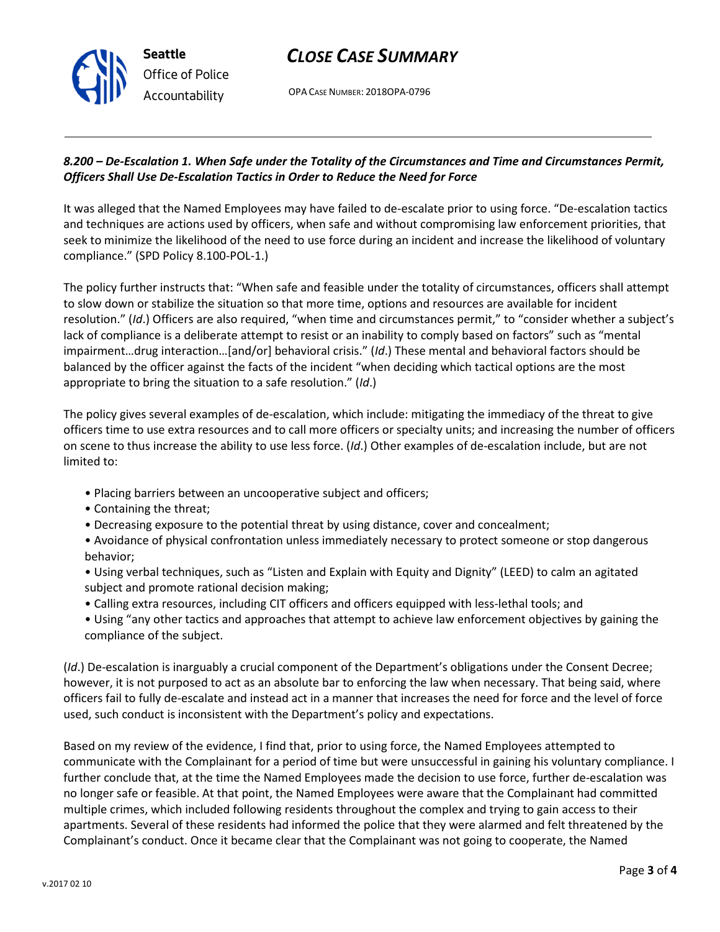# CLOSE CASE SUMMARY

OPA CASE NUMBER: 2018OPA-0796

### 8.200 – De-Escalation 1. When Safe under the Totality of the Circumstances and Time and Circumstances Permit, Officers Shall Use De-Escalation Tactics in Order to Reduce the Need for Force

It was alleged that the Named Employees may have failed to de-escalate prior to using force. "De-escalation tactics and techniques are actions used by officers, when safe and without compromising law enforcement priorities, that seek to minimize the likelihood of the need to use force during an incident and increase the likelihood of voluntary compliance." (SPD Policy 8.100-POL-1.)

The policy further instructs that: "When safe and feasible under the totality of circumstances, officers shall attempt to slow down or stabilize the situation so that more time, options and resources are available for incident resolution." (Id.) Officers are also required, "when time and circumstances permit," to "consider whether a subject's lack of compliance is a deliberate attempt to resist or an inability to comply based on factors" such as "mental impairment…drug interaction…[and/or] behavioral crisis." (Id.) These mental and behavioral factors should be balanced by the officer against the facts of the incident "when deciding which tactical options are the most appropriate to bring the situation to a safe resolution." (Id.)

The policy gives several examples of de-escalation, which include: mitigating the immediacy of the threat to give officers time to use extra resources and to call more officers or specialty units; and increasing the number of officers on scene to thus increase the ability to use less force. (Id.) Other examples of de-escalation include, but are not limited to:

- Placing barriers between an uncooperative subject and officers;
- Containing the threat;

Seattle

Office of Police Accountability

- Decreasing exposure to the potential threat by using distance, cover and concealment;
- Avoidance of physical confrontation unless immediately necessary to protect someone or stop dangerous behavior;
- Using verbal techniques, such as "Listen and Explain with Equity and Dignity" (LEED) to calm an agitated subject and promote rational decision making;
- Calling extra resources, including CIT officers and officers equipped with less-lethal tools; and
- Using "any other tactics and approaches that attempt to achieve law enforcement objectives by gaining the compliance of the subject.

(Id.) De-escalation is inarguably a crucial component of the Department's obligations under the Consent Decree; however, it is not purposed to act as an absolute bar to enforcing the law when necessary. That being said, where officers fail to fully de-escalate and instead act in a manner that increases the need for force and the level of force used, such conduct is inconsistent with the Department's policy and expectations.

Based on my review of the evidence, I find that, prior to using force, the Named Employees attempted to communicate with the Complainant for a period of time but were unsuccessful in gaining his voluntary compliance. I further conclude that, at the time the Named Employees made the decision to use force, further de-escalation was no longer safe or feasible. At that point, the Named Employees were aware that the Complainant had committed multiple crimes, which included following residents throughout the complex and trying to gain access to their apartments. Several of these residents had informed the police that they were alarmed and felt threatened by the Complainant's conduct. Once it became clear that the Complainant was not going to cooperate, the Named